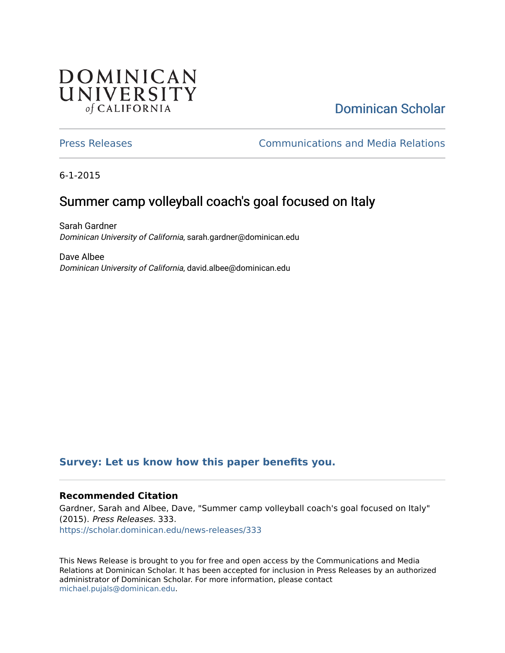## **DOMINICAN** UNIVERSITY of CALIFORNIA

# [Dominican Scholar](https://scholar.dominican.edu/)

[Press Releases](https://scholar.dominican.edu/news-releases) [Communications and Media Relations](https://scholar.dominican.edu/communications-media) 

6-1-2015

## Summer camp volleyball coach's goal focused on Italy

Sarah Gardner Dominican University of California, sarah.gardner@dominican.edu

Dave Albee Dominican University of California, david.albee@dominican.edu

## **[Survey: Let us know how this paper benefits you.](https://dominican.libwizard.com/dominican-scholar-feedback)**

### **Recommended Citation**

Gardner, Sarah and Albee, Dave, "Summer camp volleyball coach's goal focused on Italy" (2015). Press Releases. 333. [https://scholar.dominican.edu/news-releases/333](https://scholar.dominican.edu/news-releases/333?utm_source=scholar.dominican.edu%2Fnews-releases%2F333&utm_medium=PDF&utm_campaign=PDFCoverPages)

This News Release is brought to you for free and open access by the Communications and Media Relations at Dominican Scholar. It has been accepted for inclusion in Press Releases by an authorized administrator of Dominican Scholar. For more information, please contact [michael.pujals@dominican.edu.](mailto:michael.pujals@dominican.edu)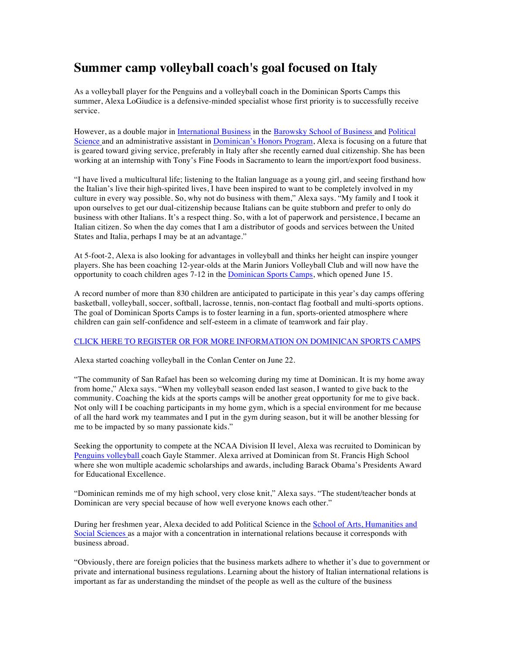## **Summer camp volleyball coach's goal focused on Italy**

As a volleyball player for the Penguins and a volleyball coach in the Dominican Sports Camps this summer, Alexa LoGiudice is a defensive-minded specialist whose first priority is to successfully receive service.

However, as a double major in International Business in the Barowsky School of Business and Political Science and an administrative assistant in Dominican's Honors Program, Alexa is focusing on a future that is geared toward giving service, preferably in Italy after she recently earned dual citizenship. She has been working at an internship with Tony's Fine Foods in Sacramento to learn the import/export food business.

"I have lived a multicultural life; listening to the Italian language as a young girl, and seeing firsthand how the Italian's live their high-spirited lives, I have been inspired to want to be completely involved in my culture in every way possible. So, why not do business with them," Alexa says. "My family and I took it upon ourselves to get our dual-citizenship because Italians can be quite stubborn and prefer to only do business with other Italians. It's a respect thing. So, with a lot of paperwork and persistence, I became an Italian citizen. So when the day comes that I am a distributor of goods and services between the United States and Italia, perhaps I may be at an advantage."

At 5-foot-2, Alexa is also looking for advantages in volleyball and thinks her height can inspire younger players. She has been coaching 12-year-olds at the Marin Juniors Volleyball Club and will now have the opportunity to coach children ages 7-12 in the Dominican Sports Camps, which opened June 15.

A record number of more than 830 children are anticipated to participate in this year's day camps offering basketball, volleyball, soccer, softball, lacrosse, tennis, non-contact flag football and multi-sports options. The goal of Dominican Sports Camps is to foster learning in a fun, sports-oriented atmosphere where children can gain self-confidence and self-esteem in a climate of teamwork and fair play.

#### CLICK HERE TO REGISTER OR FOR MORE INFORMATION ON DOMINICAN SPORTS CAMPS

Alexa started coaching volleyball in the Conlan Center on June 22.

"The community of San Rafael has been so welcoming during my time at Dominican. It is my home away from home," Alexa says. "When my volleyball season ended last season, I wanted to give back to the community. Coaching the kids at the sports camps will be another great opportunity for me to give back. Not only will I be coaching participants in my home gym, which is a special environment for me because of all the hard work my teammates and I put in the gym during season, but it will be another blessing for me to be impacted by so many passionate kids."

Seeking the opportunity to compete at the NCAA Division II level, Alexa was recruited to Dominican by Penguins volleyball coach Gayle Stammer. Alexa arrived at Dominican from St. Francis High School where she won multiple academic scholarships and awards, including Barack Obama's Presidents Award for Educational Excellence.

"Dominican reminds me of my high school, very close knit," Alexa says. "The student/teacher bonds at Dominican are very special because of how well everyone knows each other."

During her freshmen year, Alexa decided to add Political Science in the School of Arts, Humanities and Social Sciences as a major with a concentration in international relations because it corresponds with business abroad.

"Obviously, there are foreign policies that the business markets adhere to whether it's due to government or private and international business regulations. Learning about the history of Italian international relations is important as far as understanding the mindset of the people as well as the culture of the business